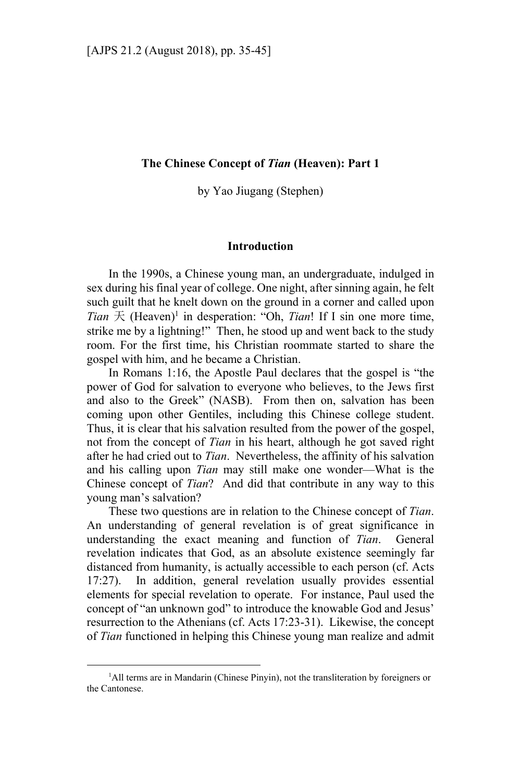# **The Chinese Concept of** *Tian* **(Heaven): Part 1**

by Yao Jiugang (Stephen)

# **Introduction**

In the 1990s, a Chinese young man, an undergraduate, indulged in sex during his final year of college. One night, after sinning again, he felt such guilt that he knelt down on the ground in a corner and called upon *Tian*  $\pm$  (Heaven)<sup>1</sup> in desperation: "Oh, *Tian*! If I sin one more time, strike me by a lightning!" Then, he stood up and went back to the study room. For the first time, his Christian roommate started to share the gospel with him, and he became a Christian.

In Romans 1:16, the Apostle Paul declares that the gospel is "the power of God for salvation to everyone who believes, to the Jews first and also to the Greek" (NASB). From then on, salvation has been coming upon other Gentiles, including this Chinese college student. Thus, it is clear that his salvation resulted from the power of the gospel, not from the concept of *Tian* in his heart, although he got saved right after he had cried out to *Tian*. Nevertheless, the affinity of his salvation and his calling upon *Tian* may still make one wonder—What is the Chinese concept of *Tian*? And did that contribute in any way to this young man's salvation?

These two questions are in relation to the Chinese concept of *Tian*. An understanding of general revelation is of great significance in understanding the exact meaning and function of *Tian*. General revelation indicates that God, as an absolute existence seemingly far distanced from humanity, is actually accessible to each person (cf. Acts 17:27). In addition, general revelation usually provides essential elements for special revelation to operate. For instance, Paul used the concept of "an unknown god" to introduce the knowable God and Jesus' resurrection to the Athenians (cf. Acts 17:23-31). Likewise, the concept of *Tian* functioned in helping this Chinese young man realize and admit

 $\frac{1}{1}$ <sup>1</sup>All terms are in Mandarin (Chinese Pinyin), not the transliteration by foreigners or the Cantonese.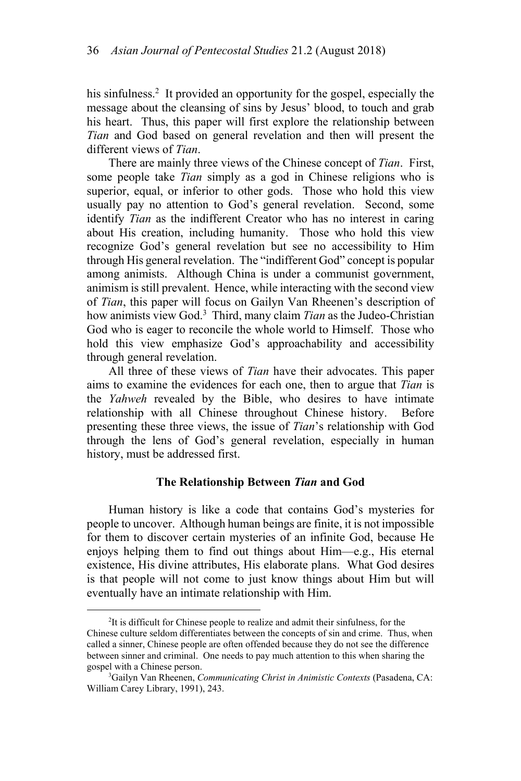his sinfulness.<sup>2</sup> It provided an opportunity for the gospel, especially the message about the cleansing of sins by Jesus' blood, to touch and grab his heart. Thus, this paper will first explore the relationship between *Tian* and God based on general revelation and then will present the different views of *Tian*.

There are mainly three views of the Chinese concept of *Tian*. First, some people take *Tian* simply as a god in Chinese religions who is superior, equal, or inferior to other gods. Those who hold this view usually pay no attention to God's general revelation. Second, some identify *Tian* as the indifferent Creator who has no interest in caring about His creation, including humanity. Those who hold this view recognize God's general revelation but see no accessibility to Him through His general revelation. The "indifferent God" concept is popular among animists. Although China is under a communist government, animism is still prevalent. Hence, while interacting with the second view of *Tian*, this paper will focus on Gailyn Van Rheenen's description of how animists view God.3 Third, many claim *Tian* as the Judeo-Christian God who is eager to reconcile the whole world to Himself. Those who hold this view emphasize God's approachability and accessibility through general revelation.

All three of these views of *Tian* have their advocates. This paper aims to examine the evidences for each one, then to argue that *Tian* is the *Yahweh* revealed by the Bible, who desires to have intimate relationship with all Chinese throughout Chinese history. Before presenting these three views, the issue of *Tian*'s relationship with God through the lens of God's general revelation, especially in human history, must be addressed first.

### **The Relationship Between** *Tian* **and God**

Human history is like a code that contains God's mysteries for people to uncover. Although human beings are finite, it is not impossible for them to discover certain mysteries of an infinite God, because He enjoys helping them to find out things about Him—e.g., His eternal existence, His divine attributes, His elaborate plans. What God desires is that people will not come to just know things about Him but will eventually have an intimate relationship with Him.

 <sup>2</sup> <sup>2</sup>It is difficult for Chinese people to realize and admit their sinfulness, for the Chinese culture seldom differentiates between the concepts of sin and crime. Thus, when called a sinner, Chinese people are often offended because they do not see the difference between sinner and criminal. One needs to pay much attention to this when sharing the gospel with a Chinese person.

Gailyn Van Rheenen, *Communicating Christ in Animistic Contexts* (Pasadena, CA: William Carey Library, 1991), 243.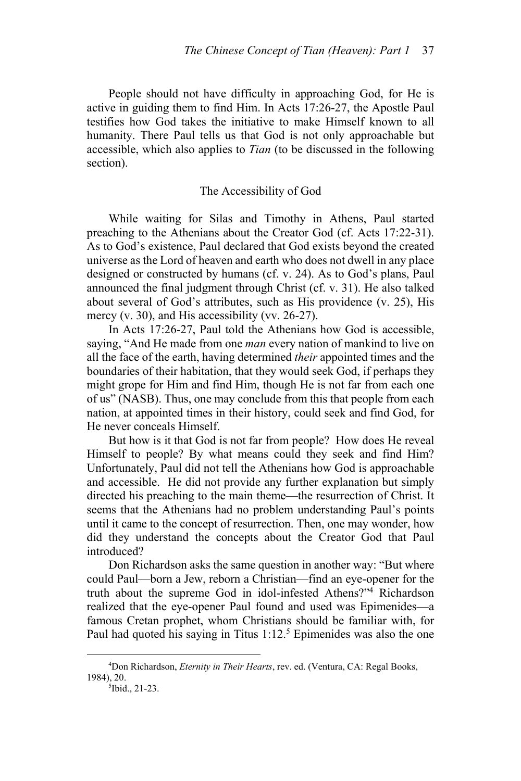People should not have difficulty in approaching God, for He is active in guiding them to find Him. In Acts 17:26-27, the Apostle Paul testifies how God takes the initiative to make Himself known to all humanity. There Paul tells us that God is not only approachable but accessible, which also applies to *Tian* (to be discussed in the following section).

### The Accessibility of God

While waiting for Silas and Timothy in Athens, Paul started preaching to the Athenians about the Creator God (cf. Acts 17:22-31). As to God's existence, Paul declared that God exists beyond the created universe as the Lord of heaven and earth who does not dwell in any place designed or constructed by humans (cf. v. 24). As to God's plans, Paul announced the final judgment through Christ (cf. v. 31). He also talked about several of God's attributes, such as His providence (v. 25), His mercy (v. 30), and His accessibility (vv. 26-27).

In Acts 17:26-27, Paul told the Athenians how God is accessible, saying, "And He made from one *man* every nation of mankind to live on all the face of the earth, having determined *their* appointed times and the boundaries of their habitation, that they would seek God, if perhaps they might grope for Him and find Him, though He is not far from each one of us" (NASB). Thus, one may conclude from this that people from each nation, at appointed times in their history, could seek and find God, for He never conceals Himself.

But how is it that God is not far from people? How does He reveal Himself to people? By what means could they seek and find Him? Unfortunately, Paul did not tell the Athenians how God is approachable and accessible. He did not provide any further explanation but simply directed his preaching to the main theme—the resurrection of Christ. It seems that the Athenians had no problem understanding Paul's points until it came to the concept of resurrection. Then, one may wonder, how did they understand the concepts about the Creator God that Paul introduced?

Don Richardson asks the same question in another way: "But where could Paul—born a Jew, reborn a Christian—find an eye-opener for the truth about the supreme God in idol-infested Athens?"4 Richardson realized that the eye-opener Paul found and used was Epimenides—a famous Cretan prophet, whom Christians should be familiar with, for Paul had quoted his saying in Titus  $1:12.^5$  Epimenides was also the one

 $\frac{1}{4}$ Don Richardson, *Eternity in Their Hearts*, rev. ed. (Ventura, CA: Regal Books, 1984), 20. 5

<sup>&</sup>lt;sup>5</sup>Ibid., 21-23.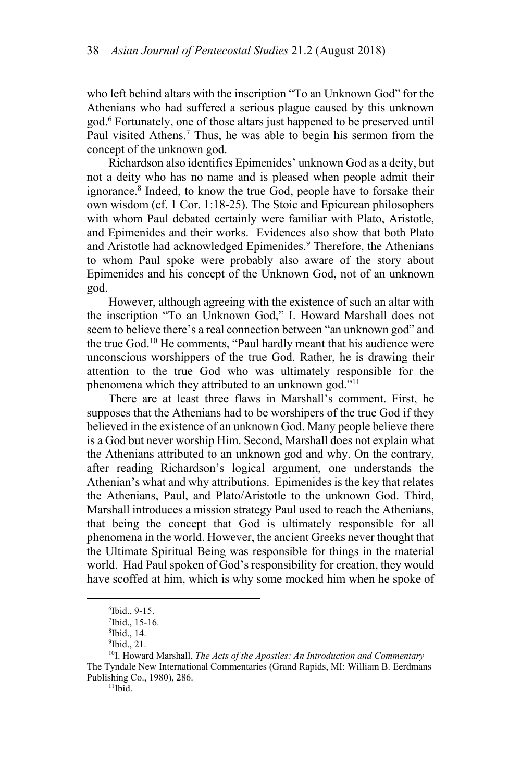who left behind altars with the inscription "To an Unknown God" for the Athenians who had suffered a serious plague caused by this unknown god.6 Fortunately, one of those altars just happened to be preserved until Paul visited Athens.<sup>7</sup> Thus, he was able to begin his sermon from the concept of the unknown god.

Richardson also identifies Epimenides' unknown God as a deity, but not a deity who has no name and is pleased when people admit their ignorance.8 Indeed, to know the true God, people have to forsake their own wisdom (cf. 1 Cor. 1:18-25). The Stoic and Epicurean philosophers with whom Paul debated certainly were familiar with Plato, Aristotle, and Epimenides and their works. Evidences also show that both Plato and Aristotle had acknowledged Epimenides.<sup>9</sup> Therefore, the Athenians to whom Paul spoke were probably also aware of the story about Epimenides and his concept of the Unknown God, not of an unknown god.

However, although agreeing with the existence of such an altar with the inscription "To an Unknown God," I. Howard Marshall does not seem to believe there's a real connection between "an unknown god" and the true God.10 He comments, "Paul hardly meant that his audience were unconscious worshippers of the true God. Rather, he is drawing their attention to the true God who was ultimately responsible for the phenomena which they attributed to an unknown god."11

There are at least three flaws in Marshall's comment. First, he supposes that the Athenians had to be worshipers of the true God if they believed in the existence of an unknown God. Many people believe there is a God but never worship Him. Second, Marshall does not explain what the Athenians attributed to an unknown god and why. On the contrary, after reading Richardson's logical argument, one understands the Athenian's what and why attributions. Epimenides is the key that relates the Athenians, Paul, and Plato/Aristotle to the unknown God. Third, Marshall introduces a mission strategy Paul used to reach the Athenians, that being the concept that God is ultimately responsible for all phenomena in the world. However, the ancient Greeks never thought that the Ultimate Spiritual Being was responsible for things in the material world. Had Paul spoken of God's responsibility for creation, they would have scoffed at him, which is why some mocked him when he spoke of

 $\overline{\phantom{0}}$ <sup>6</sup>Ibid., 9-15.

<sup>7</sup> Ibid., 15-16.

<sup>8</sup> Ibid., 14.

 $9$ Ibid., 21.

<sup>10</sup>I. Howard Marshall, *The Acts of the Apostles: An Introduction and Commentary*  The Tyndale New International Commentaries (Grand Rapids, MI: William B. Eerdmans Publishing Co., 1980), 286.<br> $\frac{11}{11}$ bid.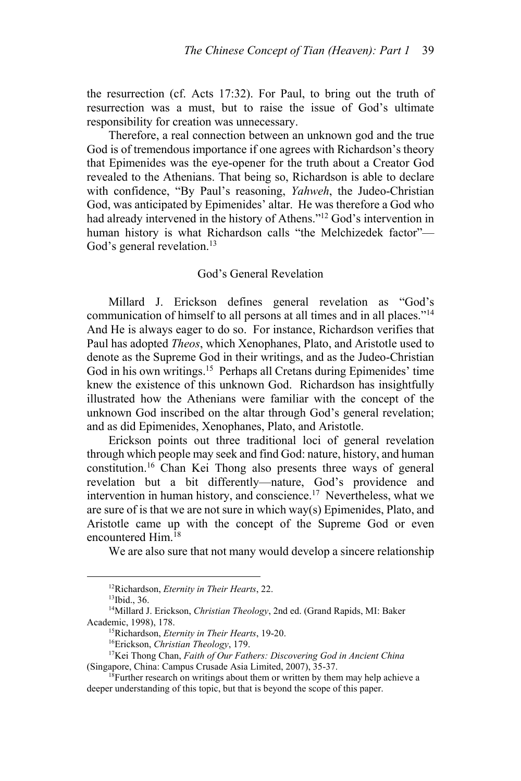the resurrection (cf. Acts 17:32). For Paul, to bring out the truth of resurrection was a must, but to raise the issue of God's ultimate responsibility for creation was unnecessary.

Therefore, a real connection between an unknown god and the true God is of tremendous importance if one agrees with Richardson's theory that Epimenides was the eye-opener for the truth about a Creator God revealed to the Athenians. That being so, Richardson is able to declare with confidence, "By Paul's reasoning, *Yahweh*, the Judeo-Christian God, was anticipated by Epimenides' altar. He was therefore a God who had already intervened in the history of Athens."12 God's intervention in human history is what Richardson calls "the Melchizedek factor"— God's general revelation.<sup>13</sup>

# God's General Revelation

Millard J. Erickson defines general revelation as "God's communication of himself to all persons at all times and in all places."14 And He is always eager to do so. For instance, Richardson verifies that Paul has adopted *Theos*, which Xenophanes, Plato, and Aristotle used to denote as the Supreme God in their writings, and as the Judeo-Christian God in his own writings.<sup>15</sup> Perhaps all Cretans during Epimenides' time knew the existence of this unknown God. Richardson has insightfully illustrated how the Athenians were familiar with the concept of the unknown God inscribed on the altar through God's general revelation; and as did Epimenides, Xenophanes, Plato, and Aristotle.

Erickson points out three traditional loci of general revelation through which people may seek and find God: nature, history, and human constitution.16 Chan Kei Thong also presents three ways of general revelation but a bit differently—nature, God's providence and intervention in human history, and conscience.<sup>17</sup> Nevertheless, what we are sure of is that we are not sure in which way(s) Epimenides, Plato, and Aristotle came up with the concept of the Supreme God or even encountered Him.18

We are also sure that not many would develop a sincere relationship

<sup>&</sup>lt;sup>12</sup>Richardson, *Eternity in Their Hearts*, 22.<sup>13</sup>Ibid., 36.

<sup>14</sup>Millard J. Erickson, *Christian Theology*, 2nd ed. (Grand Rapids, MI: Baker Academic, 1998), 178.<br><sup>15</sup>Richardson, *Eternity in Their Hearts*, 19-20.<br><sup>16</sup>Erickson, *Christian Theology*, 179.<br><sup>17</sup>Kei Thong Chan, *Faith of Our Fathers: Discovering God in Ancient China* 

<sup>(</sup>Singapore, China: Campus Crusade Asia Limited, 2007), 35-37.<br><sup>18</sup>Further research on writings about them or written by them may help achieve a

deeper understanding of this topic, but that is beyond the scope of this paper.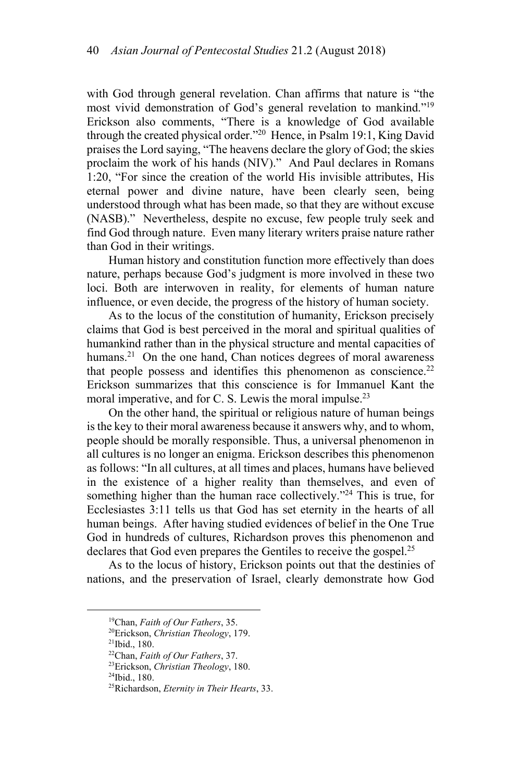with God through general revelation. Chan affirms that nature is "the most vivid demonstration of God's general revelation to mankind."19 Erickson also comments, "There is a knowledge of God available through the created physical order."20 Hence, in Psalm 19:1, King David praises the Lord saying, "The heavens declare the glory of God; the skies proclaim the work of his hands (NIV)." And Paul declares in Romans 1:20, "For since the creation of the world His invisible attributes, His eternal power and divine nature, have been clearly seen, being understood through what has been made, so that they are without excuse (NASB)." Nevertheless, despite no excuse, few people truly seek and find God through nature. Even many literary writers praise nature rather than God in their writings.

Human history and constitution function more effectively than does nature, perhaps because God's judgment is more involved in these two loci. Both are interwoven in reality, for elements of human nature influence, or even decide, the progress of the history of human society.

As to the locus of the constitution of humanity, Erickson precisely claims that God is best perceived in the moral and spiritual qualities of humankind rather than in the physical structure and mental capacities of humans.<sup>21</sup> On the one hand, Chan notices degrees of moral awareness that people possess and identifies this phenomenon as conscience.<sup>22</sup> Erickson summarizes that this conscience is for Immanuel Kant the moral imperative, and for C. S. Lewis the moral impulse.<sup>23</sup>

On the other hand, the spiritual or religious nature of human beings is the key to their moral awareness because it answers why, and to whom, people should be morally responsible. Thus, a universal phenomenon in all cultures is no longer an enigma. Erickson describes this phenomenon as follows: "In all cultures, at all times and places, humans have believed in the existence of a higher reality than themselves, and even of something higher than the human race collectively."<sup>24</sup> This is true, for Ecclesiastes 3:11 tells us that God has set eternity in the hearts of all human beings. After having studied evidences of belief in the One True God in hundreds of cultures, Richardson proves this phenomenon and declares that God even prepares the Gentiles to receive the gospel.<sup>25</sup>

As to the locus of history, Erickson points out that the destinies of nations, and the preservation of Israel, clearly demonstrate how God

<sup>&</sup>lt;sup>19</sup>Chan, *Faith of Our Fathers*, 35.<br><sup>20</sup>Erickson, *Christian Theology*, 179.<br><sup>21</sup>Ibid., 180.<br><sup>22</sup>Chan, *Faith of Our Fathers*, 37.

<sup>&</sup>lt;sup>23</sup>Erickson, *Christian Theology*, 180.<br><sup>24</sup>Ibid., 180.

<sup>25</sup>Richardson, *Eternity in Their Hearts*, 33.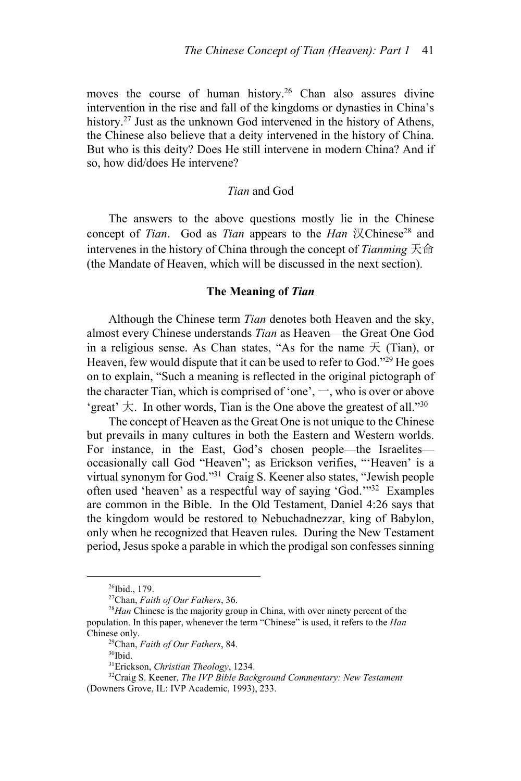moves the course of human history.<sup>26</sup> Chan also assures divine intervention in the rise and fall of the kingdoms or dynasties in China's history.<sup>27</sup> Just as the unknown God intervened in the history of Athens, the Chinese also believe that a deity intervened in the history of China. But who is this deity? Does He still intervene in modern China? And if so, how did/does He intervene?

# *Tian* and God

The answers to the above questions mostly lie in the Chinese concept of *Tian*. God as *Tian* appears to the *Han* 汉Chinese<sup>28</sup> and intervenes in the history of China through the concept of *Tianming* 天命 (the Mandate of Heaven, which will be discussed in the next section).

### **The Meaning of** *Tian*

Although the Chinese term *Tian* denotes both Heaven and the sky, almost every Chinese understands *Tian* as Heaven—the Great One God in a religious sense. As Chan states, "As for the name  $\pm$  (Tian), or Heaven, few would dispute that it can be used to refer to God."<sup>29</sup> He goes on to explain, "Such a meaning is reflected in the original pictograph of the character Tian, which is comprised of 'one',  $\rightarrow$ , who is over or above 'great'  $\dagger$ . In other words, Tian is the One above the greatest of all."<sup>30</sup>

The concept of Heaven as the Great One is not unique to the Chinese but prevails in many cultures in both the Eastern and Western worlds. For instance, in the East, God's chosen people—the Israelites occasionally call God "Heaven"; as Erickson verifies, "'Heaven' is a virtual synonym for God."31 Craig S. Keener also states, "Jewish people often used 'heaven' as a respectful way of saying 'God.'"32 Examples are common in the Bible. In the Old Testament, Daniel 4:26 says that the kingdom would be restored to Nebuchadnezzar, king of Babylon, only when he recognized that Heaven rules. During the New Testament period, Jesus spoke a parable in which the prodigal son confesses sinning

<sup>&</sup>lt;sup>26</sup>Ibid., 179.<br><sup>27</sup>Chan, *Faith of Our Fathers*, 36.

<sup>&</sup>lt;sup>28</sup>Han Chinese is the majority group in China, with over ninety percent of the population. In this paper, whenever the term "Chinese" is used, it refers to the *Han* Chinese only.<br><sup>29</sup>Chan, *Faith of Our Fathers*, 84.<br><sup>30</sup>Ibid.<sup>31</sup>Erickson, *Christian Theology*, 1234.

<sup>&</sup>lt;sup>32</sup>Craig S. Keener, *The IVP Bible Background Commentary: New Testament* (Downers Grove, IL: IVP Academic, 1993), 233.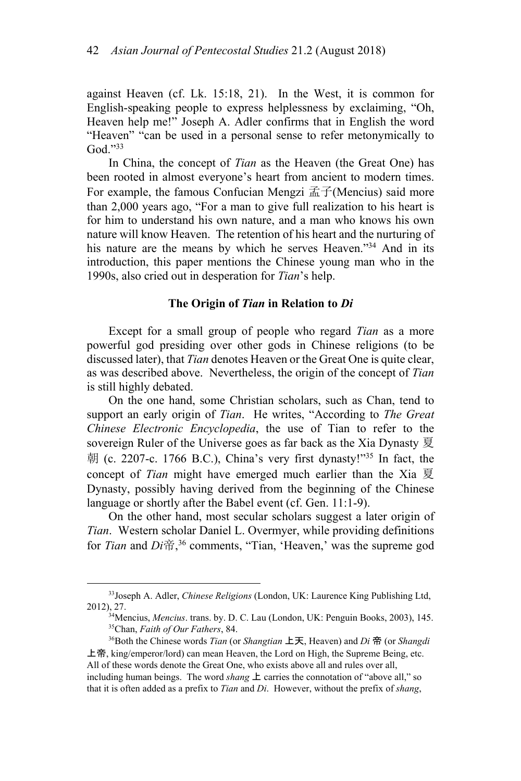against Heaven (cf. Lk. 15:18, 21). In the West, it is common for English-speaking people to express helplessness by exclaiming, "Oh, Heaven help me!" Joseph A. Adler confirms that in English the word "Heaven" "can be used in a personal sense to refer metonymically to God."33

In China, the concept of *Tian* as the Heaven (the Great One) has been rooted in almost everyone's heart from ancient to modern times. For example, the famous Confucian Mengzi  $\vec{\mathbb{H}}$  (Mencius) said more than 2,000 years ago, "For a man to give full realization to his heart is for him to understand his own nature, and a man who knows his own nature will know Heaven. The retention of his heart and the nurturing of his nature are the means by which he serves Heaven."<sup>34</sup> And in its introduction, this paper mentions the Chinese young man who in the 1990s, also cried out in desperation for *Tian*'s help.

### **The Origin of** *Tian* **in Relation to** *Di*

Except for a small group of people who regard *Tian* as a more powerful god presiding over other gods in Chinese religions (to be discussed later), that *Tian* denotes Heaven or the Great One is quite clear, as was described above. Nevertheless, the origin of the concept of *Tian* is still highly debated.

On the one hand, some Christian scholars, such as Chan, tend to support an early origin of *Tian*. He writes, "According to *The Great Chinese Electronic Encyclopedia*, the use of Tian to refer to the sovereign Ruler of the Universe goes as far back as the Xia Dynasty 夏 朝 (c. 2207-c. 1766 B.C.), China's very first dynasty!"35 In fact, the concept of *Tian* might have emerged much earlier than the Xia 夏 Dynasty, possibly having derived from the beginning of the Chinese language or shortly after the Babel event (cf. Gen. 11:1-9).

On the other hand, most secular scholars suggest a later origin of *Tian*. Western scholar Daniel L. Overmyer, while providing definitions for *Tian* and *Di*帝, 36 comments, "Tian, 'Heaven,' was the supreme god

 <sup>33</sup>Joseph A. Adler, *Chinese Religions* (London, UK: Laurence King Publishing Ltd,

<sup>2012), 27.&</sup>lt;br><sup>34</sup>Mencius, *Mencius*. trans. by. D. C. Lau (London, UK: Penguin Books, 2003), 145.<br><sup>35</sup>Chan, *Faith of Our Fathers*, 84.<br><sup>36</sup>Both the Chinese words *Tian* (or *Shangtian* 上天, Heaven) and *Di* 帝 (or *Shangdi* 

上帝, king/emperor/lord) can mean Heaven, the Lord on High, the Supreme Being, etc. All of these words denote the Great One, who exists above all and rules over all, including human beings. The word *shang*  $\pm$  carries the connotation of "above all," so that it is often added as a prefix to *Tian* and *Di*. However, without the prefix of *shang*,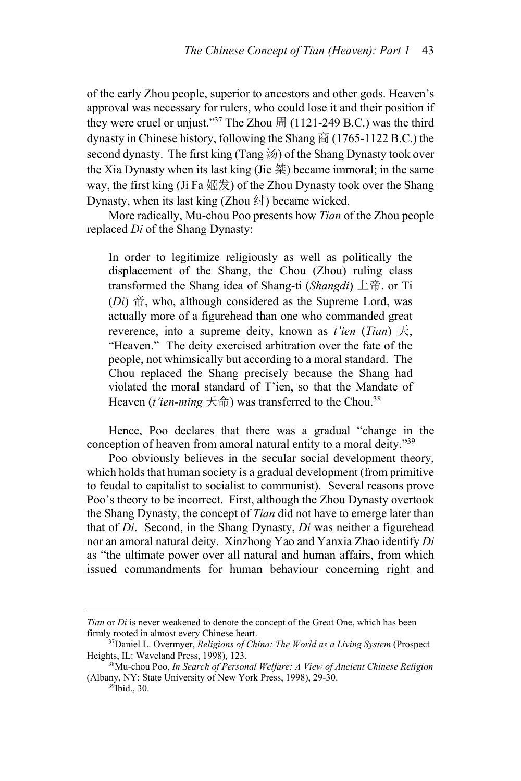of the early Zhou people, superior to ancestors and other gods. Heaven's approval was necessary for rulers, who could lose it and their position if they were cruel or unjust."<sup>37</sup> The Zhou  $\ddot{H}$  (1121-249 B.C.) was the third dynasty in Chinese history, following the Shang 商 (1765-1122 B.C.) the second dynasty. The first king (Tang 汤) of the Shang Dynasty took over the Xia Dynasty when its last king (Jie  $#$ ) became immoral; in the same way, the first king (Ji Fa  $\frac{1}{2}$ ) of the Zhou Dynasty took over the Shang Dynasty, when its last king (Zhou 纣) became wicked.

More radically, Mu-chou Poo presents how *Tian* of the Zhou people replaced *Di* of the Shang Dynasty:

In order to legitimize religiously as well as politically the displacement of the Shang, the Chou (Zhou) ruling class transformed the Shang idea of Shang-ti (*Shangdi*) 上帝, or Ti (*Di*) 帝, who, although considered as the Supreme Lord, was actually more of a figurehead than one who commanded great reverence, into a supreme deity, known as *t'ien* (*Tian*) 天, "Heaven." The deity exercised arbitration over the fate of the people, not whimsically but according to a moral standard. The Chou replaced the Shang precisely because the Shang had violated the moral standard of T'ien, so that the Mandate of Heaven (*t'ien-ming*  $\overline{\mathcal{F}}$   $\hat{m}$ ) was transferred to the Chou.<sup>38</sup>

Hence, Poo declares that there was a gradual "change in the conception of heaven from amoral natural entity to a moral deity."<sup>39</sup>

Poo obviously believes in the secular social development theory, which holds that human society is a gradual development (from primitive to feudal to capitalist to socialist to communist). Several reasons prove Poo's theory to be incorrect. First, although the Zhou Dynasty overtook the Shang Dynasty, the concept of *Tian* did not have to emerge later than that of *Di*. Second, in the Shang Dynasty, *Di* was neither a figurehead nor an amoral natural deity. Xinzhong Yao and Yanxia Zhao identify *Di* as "the ultimate power over all natural and human affairs, from which issued commandments for human behaviour concerning right and

 $\overline{a}$ 

*Tian* or *Di* is never weakened to denote the concept of the Great One, which has been firmly rooted in almost every Chinese heart. 37Daniel L. Overmyer, *Religions of China: The World as a Living System* (Prospect

Heights, IL: Waveland Press, 1998), 123.<br><sup>38</sup>Mu-chou Poo, *In Search of Personal Welfare: A View of Ancient Chinese Religion* 

<sup>(</sup>Albany, NY: State University of New York Press, 1998), 29-30. <sup>39</sup>Ibid., 30.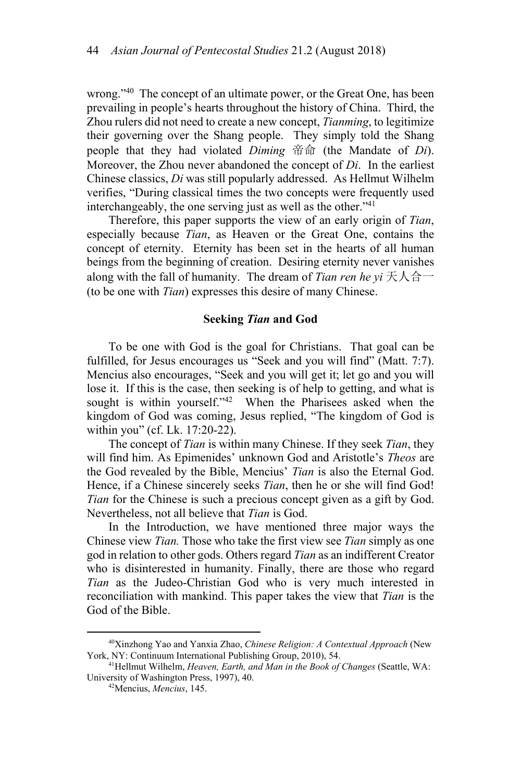wrong."<sup>40</sup> The concept of an ultimate power, or the Great One, has been prevailing in people's hearts throughout the history of China. Third, the Zhou rulers did not need to create a new concept, *Tianming*, to legitimize their governing over the Shang people. They simply told the Shang people that they had violated *Diming* 帝命 (the Mandate of *Di*). Moreover, the Zhou never abandoned the concept of *Di*. In the earliest Chinese classics, *Di* was still popularly addressed. As Hellmut Wilhelm verifies, "During classical times the two concepts were frequently used interchangeably, the one serving just as well as the other." $41$ 

Therefore, this paper supports the view of an early origin of *Tian*, especially because *Tian*, as Heaven or the Great One, contains the concept of eternity. Eternity has been set in the hearts of all human beings from the beginning of creation. Desiring eternity never vanishes along with the fall of humanity. The dream of *Tian ren he yi* 天人合一 (to be one with *Tian*) expresses this desire of many Chinese.

#### **Seeking** *Tian* **and God**

To be one with God is the goal for Christians. That goal can be fulfilled, for Jesus encourages us "Seek and you will find" (Matt. 7:7). Mencius also encourages, "Seek and you will get it; let go and you will lose it. If this is the case, then seeking is of help to getting, and what is sought is within yourself."<sup>42</sup> When the Pharisees asked when the kingdom of God was coming, Jesus replied, "The kingdom of God is within you" (cf. Lk. 17:20-22).

The concept of *Tian* is within many Chinese. If they seek *Tian*, they will find him. As Epimenides' unknown God and Aristotle's *Theos* are the God revealed by the Bible, Mencius' *Tian* is also the Eternal God. Hence, if a Chinese sincerely seeks *Tian*, then he or she will find God! *Tian* for the Chinese is such a precious concept given as a gift by God. Nevertheless, not all believe that *Tian* is God.

In the Introduction, we have mentioned three major ways the Chinese view *Tian.* Those who take the first view see *Tian* simply as one god in relation to other gods. Others regard *Tian* as an indifferent Creator who is disinterested in humanity. Finally, there are those who regard *Tian* as the Judeo-Christian God who is very much interested in reconciliation with mankind. This paper takes the view that *Tian* is the God of the Bible.

 <sup>40</sup>Xinzhong Yao and Yanxia Zhao, *Chinese Religion: A Contextual Approach* (New York, NY: Continuum International Publishing Group, 2010), 54.<br><sup>41</sup>Hellmut Wilhelm, *Heaven, Earth, and Man in the Book of Changes* (Seattle, WA:

University of Washington Press, 1997), 40. 42Mencius, *Mencius*, 145.